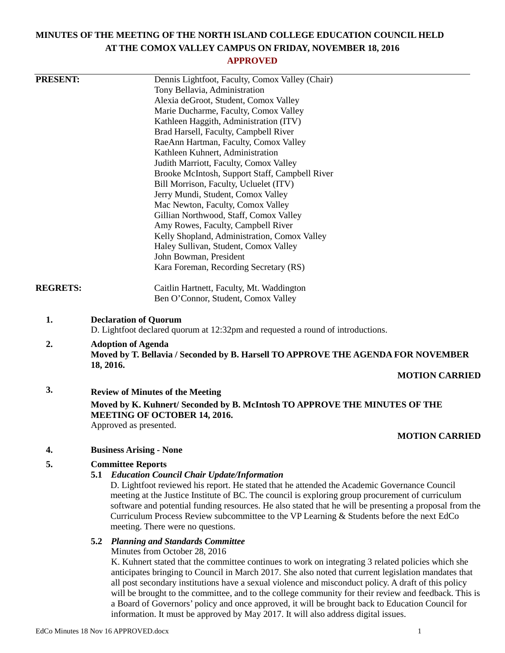# **MINUTES OF THE MEETING OF THE NORTH ISLAND COLLEGE EDUCATION COUNCIL HELD AT THE COMOX VALLEY CAMPUS ON FRIDAY, NOVEMBER 18, 2016**

# **APPROVED**

| <b>PRESENT:</b> |                                                                                                                   | Dennis Lightfoot, Faculty, Comox Valley (Chair)                                                         |  |
|-----------------|-------------------------------------------------------------------------------------------------------------------|---------------------------------------------------------------------------------------------------------|--|
|                 |                                                                                                                   | Tony Bellavia, Administration                                                                           |  |
|                 |                                                                                                                   | Alexia deGroot, Student, Comox Valley                                                                   |  |
|                 |                                                                                                                   | Marie Ducharme, Faculty, Comox Valley                                                                   |  |
|                 |                                                                                                                   | Kathleen Haggith, Administration (ITV)                                                                  |  |
|                 |                                                                                                                   | Brad Harsell, Faculty, Campbell River                                                                   |  |
|                 |                                                                                                                   | RaeAnn Hartman, Faculty, Comox Valley                                                                   |  |
|                 |                                                                                                                   | Kathleen Kuhnert, Administration                                                                        |  |
|                 |                                                                                                                   | Judith Marriott, Faculty, Comox Valley                                                                  |  |
|                 |                                                                                                                   | Brooke McIntosh, Support Staff, Campbell River                                                          |  |
|                 |                                                                                                                   | Bill Morrison, Faculty, Ucluelet (ITV)                                                                  |  |
|                 |                                                                                                                   | Jerry Mundi, Student, Comox Valley                                                                      |  |
|                 |                                                                                                                   | Mac Newton, Faculty, Comox Valley                                                                       |  |
|                 |                                                                                                                   | Gillian Northwood, Staff, Comox Valley                                                                  |  |
|                 |                                                                                                                   | Amy Rowes, Faculty, Campbell River                                                                      |  |
|                 |                                                                                                                   | Kelly Shopland, Administration, Comox Valley                                                            |  |
|                 |                                                                                                                   | Haley Sullivan, Student, Comox Valley                                                                   |  |
|                 |                                                                                                                   | John Bowman, President                                                                                  |  |
|                 |                                                                                                                   |                                                                                                         |  |
|                 |                                                                                                                   | Kara Foreman, Recording Secretary (RS)                                                                  |  |
| <b>REGRETS:</b> |                                                                                                                   | Caitlin Hartnett, Faculty, Mt. Waddington                                                               |  |
|                 |                                                                                                                   | Ben O'Connor, Student, Comox Valley                                                                     |  |
|                 |                                                                                                                   |                                                                                                         |  |
| 1.              | <b>Declaration of Quorum</b><br>D. Lightfoot declared quorum at 12:32pm and requested a round of introductions.   |                                                                                                         |  |
| 2.              | <b>Adoption of Agenda</b>                                                                                         |                                                                                                         |  |
|                 | Moved by T. Bellavia / Seconded by B. Harsell TO APPROVE THE AGENDA FOR NOVEMBER                                  |                                                                                                         |  |
|                 | 18, 2016.                                                                                                         |                                                                                                         |  |
|                 |                                                                                                                   | <b>MOTION CARRIED</b>                                                                                   |  |
| 3.              |                                                                                                                   | <b>Review of Minutes of the Meeting</b>                                                                 |  |
|                 |                                                                                                                   |                                                                                                         |  |
|                 | Moved by K. Kuhnert/ Seconded by B. McIntosh TO APPROVE THE MINUTES OF THE<br><b>MEETING OF OCTOBER 14, 2016.</b> |                                                                                                         |  |
|                 |                                                                                                                   | Approved as presented.                                                                                  |  |
|                 |                                                                                                                   | <b>MOTION CARRIED</b>                                                                                   |  |
|                 |                                                                                                                   |                                                                                                         |  |
| 4.              |                                                                                                                   | <b>Business Arising - None</b>                                                                          |  |
| 5.              |                                                                                                                   | <b>Committee Reports</b>                                                                                |  |
|                 |                                                                                                                   | <b>5.1 Education Council Chair Update/Information</b>                                                   |  |
|                 |                                                                                                                   | D. Lightfoot reviewed his report. He stated that he attended the Academic Governance Council            |  |
|                 |                                                                                                                   | meeting at the Justice Institute of BC. The council is exploring group procurement of curriculum        |  |
|                 |                                                                                                                   | software and potential funding resources. He also stated that he will be presenting a proposal from the |  |
|                 |                                                                                                                   | Curriculum Process Review subcommittee to the VP Learning $\&$ Students before the next EdCo            |  |
|                 |                                                                                                                   | meeting. There were no questions.                                                                       |  |
|                 | 5.2                                                                                                               | <b>Planning and Standards Committee</b>                                                                 |  |
|                 |                                                                                                                   | Minutes from October 28, 2016                                                                           |  |
|                 |                                                                                                                   | K. Kuhnert stated that the committee continues to work on integrating 3 related policies which she      |  |
|                 |                                                                                                                   | anticipates bringing to Council in March 2017. She also noted that current legislation mandates that    |  |
|                 |                                                                                                                   | all post secondary institutions have a sexual violence and misconduct policy. A draft of this policy    |  |
|                 |                                                                                                                   | will be brought to the committee, and to the college community for their review and feedback. This is   |  |
|                 |                                                                                                                   | a Board of Governors' policy and once approved, it will be brought back to Education Council for        |  |
|                 |                                                                                                                   | information. It must be approved by May 2017. It will also address digital issues.                      |  |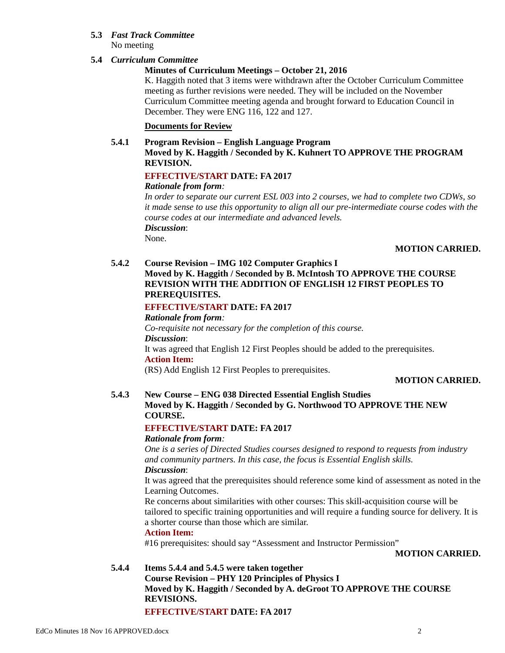### **5.3** *Fast Track Committee* No meeting

# **5.4** *Curriculum Committee*

# **Minutes of Curriculum Meetings – October 21, 2016**

K. Haggith noted that 3 items were withdrawn after the October Curriculum Committee meeting as further revisions were needed. They will be included on the November Curriculum Committee meeting agenda and brought forward to Education Council in December. They were ENG 116, 122 and 127.

# **Documents for Review**

### **5.4.1 Program Revision – English Language Program**

**Moved by K. Haggith / Seconded by K. Kuhnert TO APPROVE THE PROGRAM REVISION.**

# **EFFECTIVE/START DATE: FA 2017**

### *Rationale from form:*

*In order to separate our current ESL 003 into 2 courses, we had to complete two CDWs, so it made sense to use this opportunity to align all our pre-intermediate course codes with the course codes at our intermediate and advanced levels. Discussion*: None.

# **MOTION CARRIED.**

# **5.4.2 Course Revision – IMG 102 Computer Graphics I Moved by K. Haggith / Seconded by B. McIntosh TO APPROVE THE COURSE REVISION WITH THE ADDITION OF ENGLISH 12 FIRST PEOPLES TO PREREQUISITES.**

# **EFFECTIVE/START DATE: FA 2017**

*Rationale from form: Co-requisite not necessary for the completion of this course. Discussion*: It was agreed that English 12 First Peoples should be added to the prerequisites. **Action Item:** (RS) Add English 12 First Peoples to prerequisites.

### **MOTION CARRIED.**

# **5.4.3 New Course – ENG 038 Directed Essential English Studies Moved by K. Haggith / Seconded by G. Northwood TO APPROVE THE NEW COURSE.**

# **EFFECTIVE/START DATE: FA 2017**

### *Rationale from form:*

*One is a series of Directed Studies courses designed to respond to requests from industry and community partners. In this case, the focus is Essential English skills. Discussion*:

It was agreed that the prerequisites should reference some kind of assessment as noted in the Learning Outcomes.

Re concerns about similarities with other courses: This skill-acquisition course will be tailored to specific training opportunities and will require a funding source for delivery. It is a shorter course than those which are similar.

# **Action Item:**

#16 prerequisites: should say "Assessment and Instructor Permission"

**MOTION CARRIED.**

**5.4.4 Items 5.4.4 and 5.4.5 were taken together Course Revision – PHY 120 Principles of Physics I Moved by K. Haggith / Seconded by A. deGroot TO APPROVE THE COURSE REVISIONS. EFFECTIVE/START DATE: FA 2017**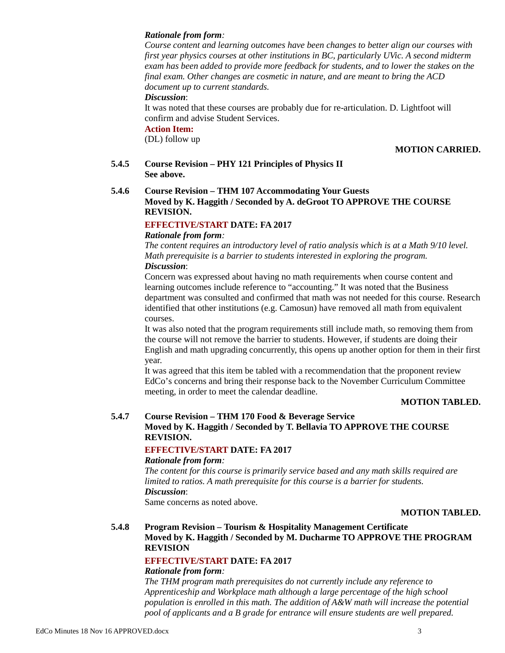#### *Rationale from form:*

*Course content and learning outcomes have been changes to better align our courses with first year physics courses at other institutions in BC, particularly UVic. A second midterm exam has been added to provide more feedback for students, and to lower the stakes on the final exam. Other changes are cosmetic in nature, and are meant to bring the ACD document up to current standards.*

#### *Discussion*:

It was noted that these courses are probably due for re-articulation. D. Lightfoot will confirm and advise Student Services.

#### **Action Item:**

(DL) follow up

### **MOTION CARRIED.**

**5.4.5 Course Revision – PHY 121 Principles of Physics II See above.**

### **5.4.6 Course Revision – THM 107 Accommodating Your Guests Moved by K. Haggith / Seconded by A. deGroot TO APPROVE THE COURSE REVISION.**

## **EFFECTIVE/START DATE: FA 2017**

#### *Rationale from form:*

*The content requires an introductory level of ratio analysis which is at a Math 9/10 level. Math prerequisite is a barrier to students interested in exploring the program. Discussion*:

Concern was expressed about having no math requirements when course content and learning outcomes include reference to "accounting." It was noted that the Business department was consulted and confirmed that math was not needed for this course. Research identified that other institutions (e.g. Camosun) have removed all math from equivalent courses.

It was also noted that the program requirements still include math, so removing them from the course will not remove the barrier to students. However, if students are doing their English and math upgrading concurrently, this opens up another option for them in their first year.

It was agreed that this item be tabled with a recommendation that the proponent review EdCo's concerns and bring their response back to the November Curriculum Committee meeting, in order to meet the calendar deadline.

#### **MOTION TABLED.**

# **5.4.7 Course Revision – THM 170 Food & Beverage Service Moved by K. Haggith / Seconded by T. Bellavia TO APPROVE THE COURSE REVISION.**

## **EFFECTIVE/START DATE: FA 2017**

#### *Rationale from form:*

*The content for this course is primarily service based and any math skills required are limited to ratios. A math prerequisite for this course is a barrier for students. Discussion*: Same concerns as noted above.

#### **MOTION TABLED.**

### **5.4.8 Program Revision – Tourism & Hospitality Management Certificate Moved by K. Haggith / Seconded by M. Ducharme TO APPROVE THE PROGRAM REVISION**

# **EFFECTIVE/START DATE: FA 2017**

#### *Rationale from form:*

*The THM program math prerequisites do not currently include any reference to Apprenticeship and Workplace math although a large percentage of the high school population is enrolled in this math. The addition of A&W math will increase the potential pool of applicants and a B grade for entrance will ensure students are well prepared.*